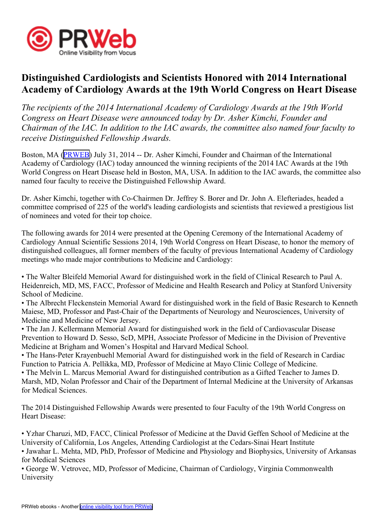

## **Distinguished Cardiologists and Scientists Honored with 2014 International Academy of Cardiology Awards at the 19th World Congress on Heart Disease**

*The recipients of the 2014 International Academy of Cardiology Awards at the 19th World Congress on Heart Disease were announced today by Dr. Asher Kimchi, Founder and Chairman of the IAC. In addition to the IAC awards, the committee also named four faculty to receive Distinguished Fellowship Awards.*

Boston, MA [\(PRWEB\)](http://www.prweb.com) July 31, 2014 -- Dr. Asher Kimchi, Founder and Chairman of the International Academy of Cardiology (IAC) today announced the winning recipients of the 2014 IAC Awards at the 19th World Congress on Heart Disease held in Boston, MA, USA. In addition to the IAC awards, the committee also named four faculty to receive the Distinguished Fellowship Award.

Dr. Asher Kimchi, together with Co-Chairmen Dr. Jeffrey S. Borer and Dr. John A. Elefteriades, headed <sup>a</sup> committee comprised of 225 of the world's leading cardiologists and scientists that reviewed <sup>a</sup> prestigious list of nominees and voted for their top choice.

The following awards for 2014 were presented at the Opening Ceremony of the International Academy of Cardiology Annual Scientific Sessions 2014, 19th World Congress on Heart Disease, to honor the memory of distinguished colleagues, all former members of the faculty of previous International Academy of Cardiology meetings who made major contributions to Medicine and Cardiology:

• The Walter Bleifeld Memorial Award for distinguished work in the field of Clinical Research to Paul A. Heidenreich, MD, MS, FACC, Professor of Medicine and Health Research and Policy at Stanford University School of Medicine.

• The Albrecht Fleckenstein Memorial Award for distinguished work in the field of Basic Research to Kenneth Maiese, MD, Professor and Past-Chair of the Departments of Neurology and Neurosciences, University of Medicine and Medicine of New Jersey.

• The Jan J. Kellermann Memorial Award for distinguished work in the field of Cardiovascular Disease Prevention to Howard D. Sesso, ScD, MPH, Associate Professor of Medicine in the Division of Preventive Medicine at Brigham and Women's Hospital and Harvard Medical School.

• The Hans-Peter Krayenbuehl Memorial Award for distinguished work in the field of Research in Cardiac Function to Patricia A. Pellikka, MD, Professor of Medicine at Mayo Clinic College of Medicine.

• The Melvin L. Marcus Memorial Award for distinguished contribution as <sup>a</sup> Gifted Teacher to James D. Marsh, MD, Nolan Professor and Chair of the Department of Internal Medicine at the University of Arkansas for Medical Sciences.

The 2014 Distinguished Fellowship Awards were presented to four Faculty of the 19th World Congress on Heart Disease:

• Yzhar Charuzi, MD, FACC, Clinical Professor of Medicine at the David Geffen School of Medicine at the University of California, Los Angeles, Attending Cardiologist at the Cedars-Sinai Heart Institute • Jawahar L. Mehta, MD, PhD, Professor of Medicine and Physiology and Biophysics, University of Arkansas for Medical Sciences

• George W. Vetrovec, MD, Professor of Medicine, Chairman of Cardiology, Virginia Commonwealth University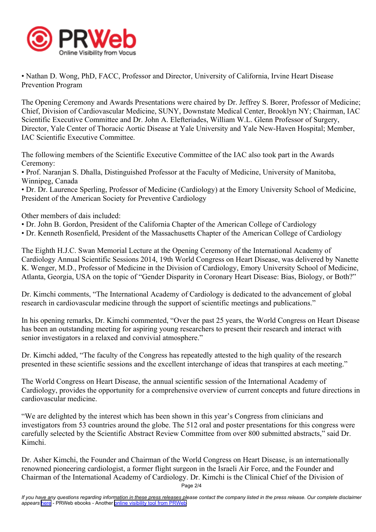

• Nathan D. Wong, PhD, FACC, Professor and Director, University of California, Irvine Heart Disease Prevention Program

The Opening Ceremony and Awards Presentations were chaired by Dr. Jeffrey S. Borer, Professor of Medicine; Chief, Division of Cardiovascular Medicine, SUNY, Downstate Medical Center, Brooklyn NY; Chairman, IAC Scientific Executive Committee and Dr. John A. Elefteriades, William W.L. Glenn Professor of Surgery, Director, Yale Center of Thoracic Aortic Disease at Yale University and Yale New-Haven Hospital; Member, IAC Scientific Executive Committee.

The following members of the Scientific Executive Committee of the IAC also took par<sup>t</sup> in the Awards Ceremony:

• Prof. Naranjan S. Dhalla, Distinguished Professor at the Faculty of Medicine, University of Manitoba, Winnipeg, Canada

• Dr. Dr. Laurence Sperling, Professor of Medicine (Cardiology) at the Emory University School of Medicine, President of the American Society for Preventive Cardiology

Other members of dais included:

- Dr. John B. Gordon, President of the California Chapter of the American College of Cardiology
- Dr. Kenneth Rosenfield, President of the Massachusetts Chapter of the American College of Cardiology

The Eighth H.J.C. Swan Memorial Lecture at the Opening Ceremony of the International Academy of Cardiology Annual Scientific Sessions 2014, 19th World Congress on Heart Disease, was delivered by Nanette K. Wenger, M.D., Professor of Medicine in the Division of Cardiology, Emory University School of Medicine, Atlanta, Georgia, USA on the topic of "Gender Disparity in Coronary Heart Disease: Bias, Biology, or Both?"

Dr. Kimchi comments, "The International Academy of Cardiology is dedicated to the advancement of global research in cardiovascular medicine through the suppor<sup>t</sup> of scientific meetings and publications."

In his opening remarks, Dr. Kimchi commented, "Over the pas<sup>t</sup> 25 years, the World Congress on Heart Disease has been an outstanding meeting for aspiring young researchers to presen<sup>t</sup> their research and interact with senior investigators in <sup>a</sup> relaxed and convivial atmosphere."

Dr. Kimchi added, "The faculty of the Congress has repeatedly attested to the high quality of the research presented in these scientific sessions and the excellent interchange of ideas that transpires at each meeting."

The World Congress on Heart Disease, the annual scientific session of the International Academy of Cardiology, provides the opportunity for <sup>a</sup> comprehensive overview of current concepts and future directions in cardiovascular medicine.

"We are delighted by the interest which has been shown in this year's Congress from clinicians and investigators from 53 countries around the globe. The 512 oral and poster presentations for this congress were carefully selected by the Scientific Abstract Review Committee from over 800 submitted abstracts," said Dr. Kimchi.

Dr. Asher Kimchi, the Founder and Chairman of the World Congress on Heart Disease, is an internationally renowned pioneering cardiologist, <sup>a</sup> former flight surgeon in the Israeli Air Force, and the Founder and Chairman of the International Academy of Cardiology. Dr. Kimchi is the Clinical Chief of the Division of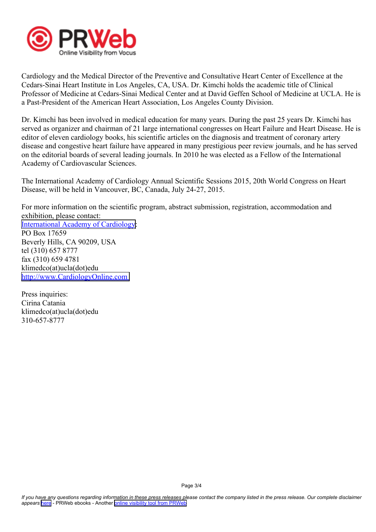

Cardiology and the Medical Director of the Preventive and Consultative Heart Center of Excellence at the Cedars-Sinai Heart Institute in Los Angeles, CA, USA. Dr. Kimchi holds the academic title of Clinical Professor of Medicine at Cedars-Sinai Medical Center and at David Geffen School of Medicine at UCLA. He is <sup>a</sup> Past-President of the American Heart Association, Los Angeles County Division.

Dr. Kimchi has been involved in medical education for many years. During the pas<sup>t</sup> 25 years Dr. Kimchi has served as organizer and chairman of 21 large international congresses on Heart Failure and Heart Disease. He is editor of eleven cardiology books, his scientific articles on the diagnosis and treatment of coronary artery disease and congestive heart failure have appeared in many prestigious peer review journals, and he has served on the editorial boards of several leading journals. In 2010 he was elected as <sup>a</sup> Fellow of the International Academy of Cardiovascular Sciences.

The International Academy of Cardiology Annual Scientific Sessions 2015, 20th World Congress on Heart Disease, will be held in Vancouver, BC, Canada, July 24-27, 2015.

For more information on the scientific program, abstract submission, registration, accommodation and exhibition, please contact: International Academy of [Cardiology](http://www.CardiologyOnline.com): PO Box 17659 Beverly Hills, CA 90209, USA tel (310) 657 8777 fax (310) 659 4781 klimedco(at)ucla(dot)edu <http://www.CardiologyOnline.com>

Press inquiries: Cirina Catania klimedco(at)ucla(dot)edu 310-657-8777